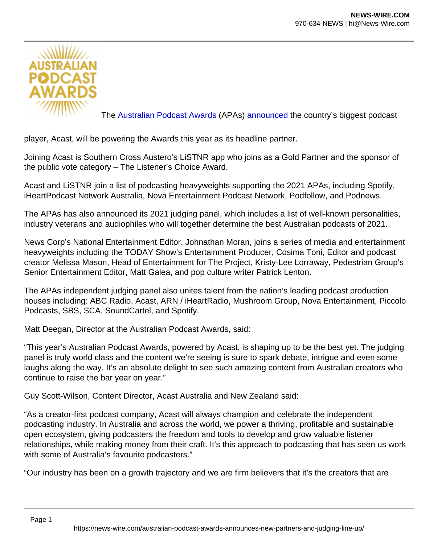The [Australian Podcast Awards](https://australianpodcastawards.com/) (APAs) [announced](https://podnews.net/press-release/apa21-acast) the country's biggest podcast

player, Acast, will be powering the Awards this year as its headline partner.

Joining Acast is Southern Cross Austero's LiSTNR app who joins as a Gold Partner and the sponsor of the public vote category – The Listener's Choice Award.

Acast and LiSTNR join a list of podcasting heavyweights supporting the 2021 APAs, including Spotify, iHeartPodcast Network Australia, Nova Entertainment Podcast Network, Podfollow, and Podnews.

The APAs has also announced its 2021 judging panel, which includes a list of well-known personalities, industry veterans and audiophiles who will together determine the best Australian podcasts of 2021.

News Corp's National Entertainment Editor, Johnathan Moran, joins a series of media and entertainment heavyweights including the TODAY Show's Entertainment Producer, Cosima Toni, Editor and podcast creator Melissa Mason, Head of Entertainment for The Project, Kristy-Lee Lorraway, Pedestrian Group's Senior Entertainment Editor, Matt Galea, and pop culture writer Patrick Lenton.

The APAs independent judging panel also unites talent from the nation's leading podcast production houses including: ABC Radio, Acast, ARN / iHeartRadio, Mushroom Group, Nova Entertainment, Piccolo Podcasts, SBS, SCA, SoundCartel, and Spotify.

Matt Deegan, Director at the Australian Podcast Awards, said:

"This year's Australian Podcast Awards, powered by Acast, is shaping up to be the best yet. The judging panel is truly world class and the content we're seeing is sure to spark debate, intrigue and even some laughs along the way. It's an absolute delight to see such amazing content from Australian creators who continue to raise the bar year on year."

Guy Scott-Wilson, Content Director, Acast Australia and New Zealand said:

"As a creator-first podcast company, Acast will always champion and celebrate the independent podcasting industry. In Australia and across the world, we power a thriving, profitable and sustainable open ecosystem, giving podcasters the freedom and tools to develop and grow valuable listener relationships, while making money from their craft. It's this approach to podcasting that has seen us work with some of Australia's favourite podcasters."

"Our industry has been on a growth trajectory and we are firm believers that it's the creators that are